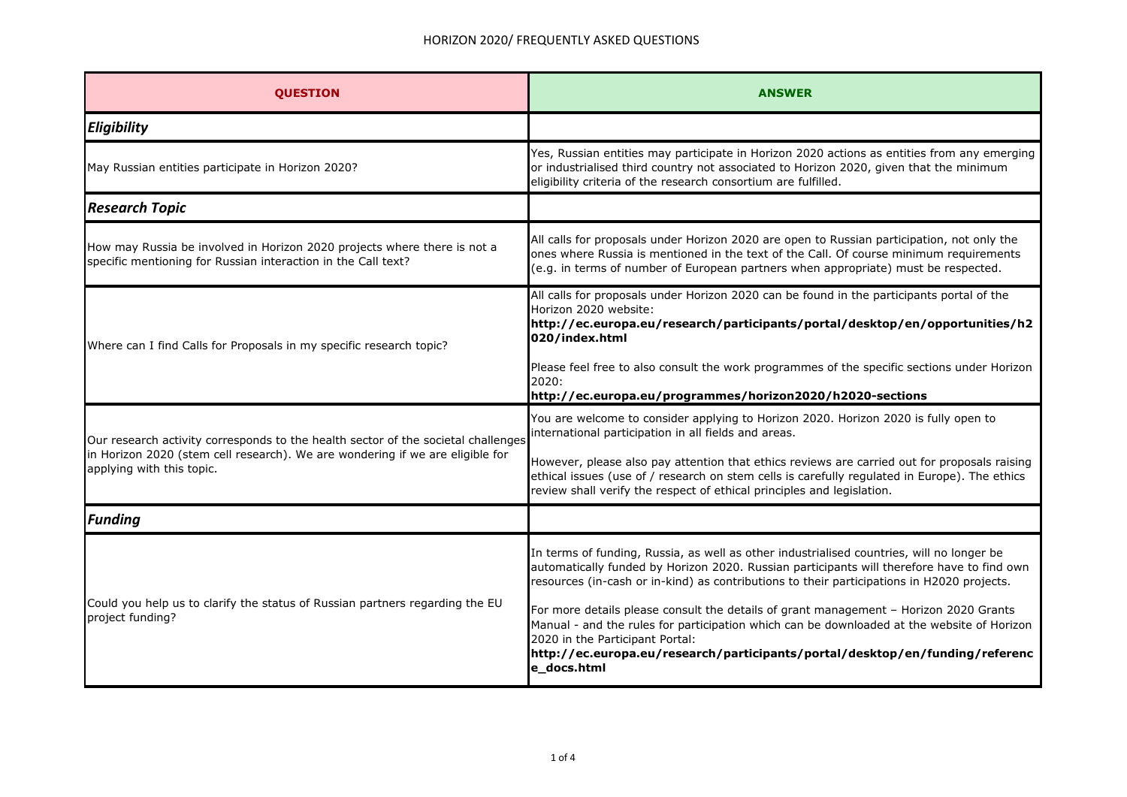## HORIZON 2020/ FREQUENTLY ASKED QUESTIONS

| <b>OUESTION</b>                                                                                                                                                                                 | <b>ANSWER</b>                                                                                                                                                                                                                                                                                                         |
|-------------------------------------------------------------------------------------------------------------------------------------------------------------------------------------------------|-----------------------------------------------------------------------------------------------------------------------------------------------------------------------------------------------------------------------------------------------------------------------------------------------------------------------|
| Eligibility                                                                                                                                                                                     |                                                                                                                                                                                                                                                                                                                       |
| May Russian entities participate in Horizon 2020?                                                                                                                                               | Yes, Russian entities may participate in Horizon 2020 actions as entities from any emerging<br>or industrialised third country not associated to Horizon 2020, given that the minimum<br>eligibility criteria of the research consortium are fulfilled.                                                               |
| <b>Research Topic</b>                                                                                                                                                                           |                                                                                                                                                                                                                                                                                                                       |
| How may Russia be involved in Horizon 2020 projects where there is not a<br>specific mentioning for Russian interaction in the Call text?                                                       | All calls for proposals under Horizon 2020 are open to Russian participation, not only the<br>ones where Russia is mentioned in the text of the Call. Of course minimum requirements<br>(e.g. in terms of number of European partners when appropriate) must be respected.                                            |
| Where can I find Calls for Proposals in my specific research topic?                                                                                                                             | All calls for proposals under Horizon 2020 can be found in the participants portal of the<br>Horizon 2020 website:<br>http://ec.europa.eu/research/participants/portal/desktop/en/opportunities/h2<br>020/index.html<br>Please feel free to also consult the work programmes of the specific sections under Horizon   |
|                                                                                                                                                                                                 | 2020:<br>http://ec.europa.eu/programmes/horizon2020/h2020-sections                                                                                                                                                                                                                                                    |
| Our research activity corresponds to the health sector of the societal challenges<br>in Horizon 2020 (stem cell research). We are wondering if we are eligible for<br>applying with this topic. | You are welcome to consider applying to Horizon 2020. Horizon 2020 is fully open to<br>international participation in all fields and areas.                                                                                                                                                                           |
|                                                                                                                                                                                                 | However, please also pay attention that ethics reviews are carried out for proposals raising<br>ethical issues (use of / research on stem cells is carefully regulated in Europe). The ethics<br>review shall verify the respect of ethical principles and legislation.                                               |
| <b>Funding</b>                                                                                                                                                                                  |                                                                                                                                                                                                                                                                                                                       |
| Could you help us to clarify the status of Russian partners regarding the EU<br>project funding?                                                                                                | In terms of funding, Russia, as well as other industrialised countries, will no longer be<br>automatically funded by Horizon 2020. Russian participants will therefore have to find own<br>resources (in-cash or in-kind) as contributions to their participations in H2020 projects.                                 |
|                                                                                                                                                                                                 | For more details please consult the details of grant management - Horizon 2020 Grants<br>Manual - and the rules for participation which can be downloaded at the website of Horizon<br>2020 in the Participant Portal:<br>http://ec.europa.eu/research/participants/portal/desktop/en/funding/referenc<br>e_docs.html |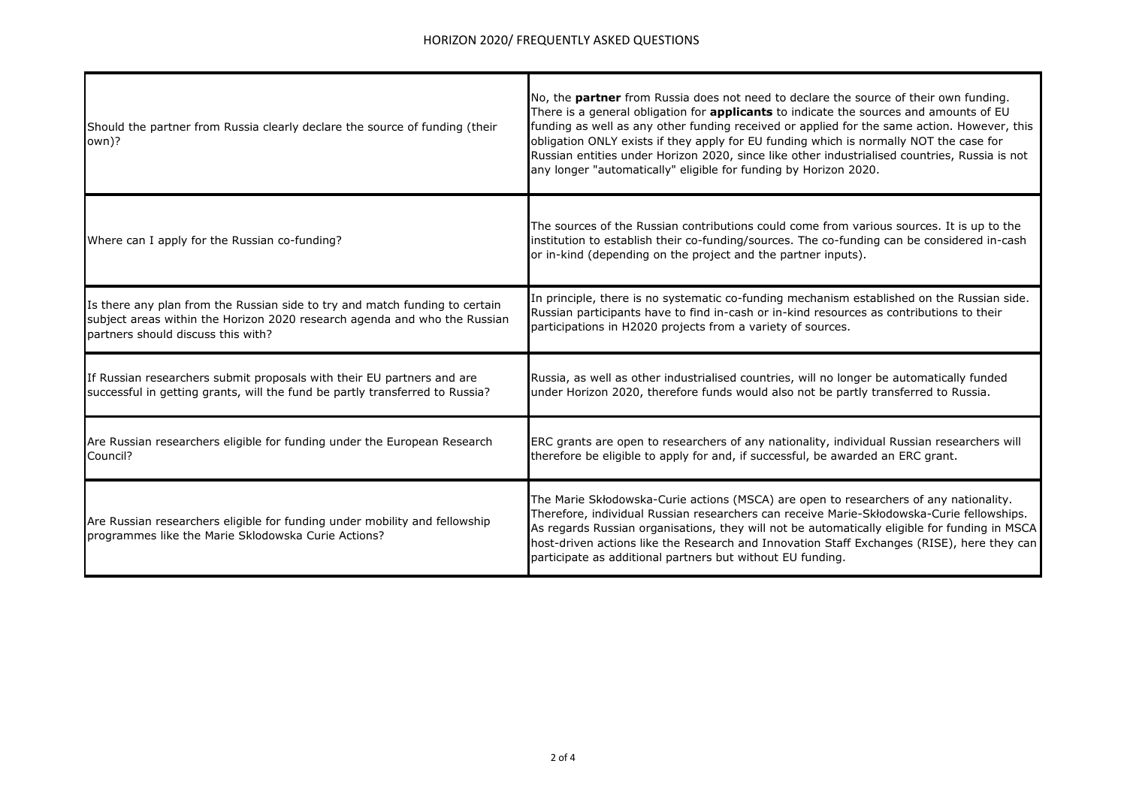| Should the partner from Russia clearly declare the source of funding (their<br>own)?                                              | No, the partner from Russia does not need to declare the source of their own funding.<br>There is a general obligation for <b>applicants</b> to indicate the sources and amounts of EU<br>funding as well as any other funding received or applied for the same action. However, this<br>obligation ONLY exists if they apply for EU funding which is normally NOT the case for<br>Russian entities under Horizon 2020, since like other industrialised countries, Russia is not<br>any longer "automatically" eligible for funding by Horizon 2020. |
|-----------------------------------------------------------------------------------------------------------------------------------|------------------------------------------------------------------------------------------------------------------------------------------------------------------------------------------------------------------------------------------------------------------------------------------------------------------------------------------------------------------------------------------------------------------------------------------------------------------------------------------------------------------------------------------------------|
| Where can I apply for the Russian co-funding?                                                                                     | The sources of the Russian contributions could come from various sources. It is up to the<br>institution to establish their co-funding/sources. The co-funding can be considered in-cash<br>or in-kind (depending on the project and the partner inputs).                                                                                                                                                                                                                                                                                            |
| Is there any plan from the Russian side to try and match funding to certain                                                       | In principle, there is no systematic co-funding mechanism established on the Russian side.                                                                                                                                                                                                                                                                                                                                                                                                                                                           |
| subject areas within the Horizon 2020 research agenda and who the Russian                                                         | Russian participants have to find in-cash or in-kind resources as contributions to their                                                                                                                                                                                                                                                                                                                                                                                                                                                             |
| partners should discuss this with?                                                                                                | participations in H2020 projects from a variety of sources.                                                                                                                                                                                                                                                                                                                                                                                                                                                                                          |
| If Russian researchers submit proposals with their EU partners and are                                                            | Russia, as well as other industrialised countries, will no longer be automatically funded                                                                                                                                                                                                                                                                                                                                                                                                                                                            |
| successful in getting grants, will the fund be partly transferred to Russia?                                                      | under Horizon 2020, therefore funds would also not be partly transferred to Russia.                                                                                                                                                                                                                                                                                                                                                                                                                                                                  |
| Are Russian researchers eligible for funding under the European Research                                                          | ERC grants are open to researchers of any nationality, individual Russian researchers will                                                                                                                                                                                                                                                                                                                                                                                                                                                           |
| Council?                                                                                                                          | therefore be eligible to apply for and, if successful, be awarded an ERC grant.                                                                                                                                                                                                                                                                                                                                                                                                                                                                      |
| Are Russian researchers eligible for funding under mobility and fellowship<br>programmes like the Marie Sklodowska Curie Actions? | The Marie Skłodowska-Curie actions (MSCA) are open to researchers of any nationality.<br>Therefore, individual Russian researchers can receive Marie-Skłodowska-Curie fellowships.<br>As regards Russian organisations, they will not be automatically eligible for funding in MSCA<br>host-driven actions like the Research and Innovation Staff Exchanges (RISE), here they can<br>participate as additional partners but without EU funding.                                                                                                      |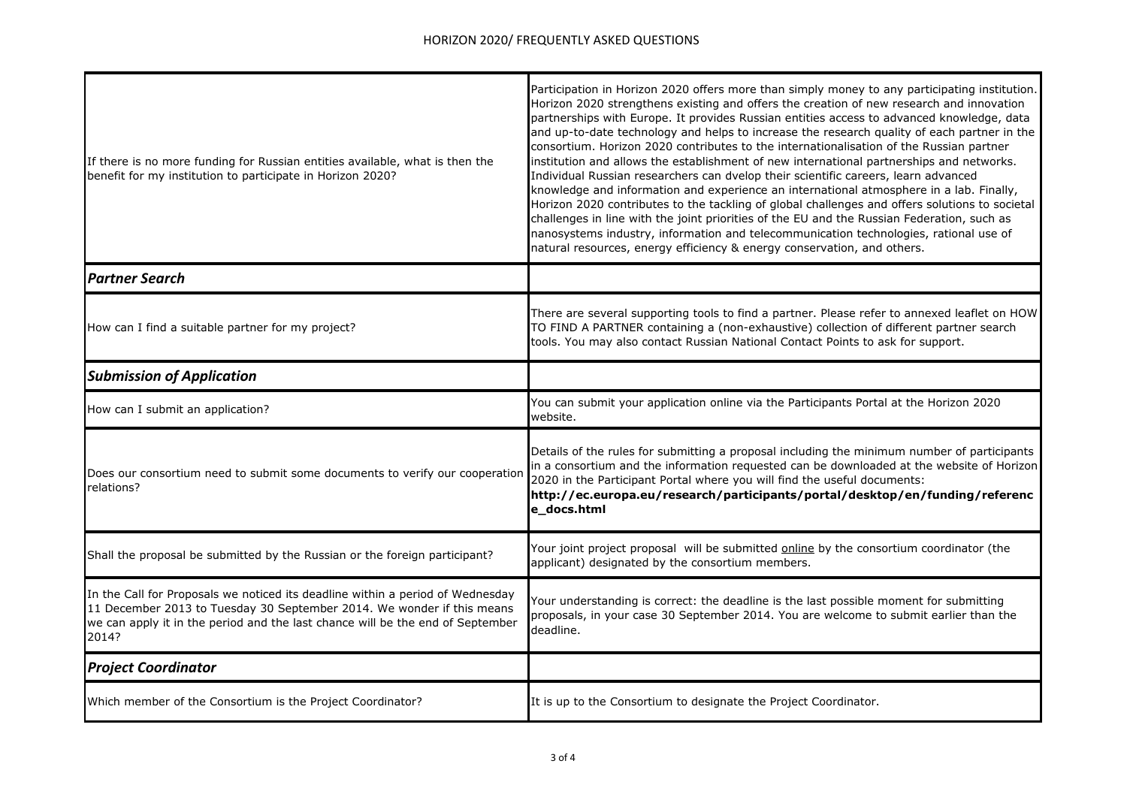| If there is no more funding for Russian entities available, what is then the<br>benefit for my institution to participate in Horizon 2020?                                                                                                          | Participation in Horizon 2020 offers more than simply money to any participating institution.<br>Horizon 2020 strengthens existing and offers the creation of new research and innovation<br>partnerships with Europe. It provides Russian entities access to advanced knowledge, data<br>and up-to-date technology and helps to increase the research quality of each partner in the<br>consortium. Horizon 2020 contributes to the internationalisation of the Russian partner<br>institution and allows the establishment of new international partnerships and networks.<br>Individual Russian researchers can dvelop their scientific careers, learn advanced<br>knowledge and information and experience an international atmosphere in a lab. Finally,<br>Horizon 2020 contributes to the tackling of global challenges and offers solutions to societal<br>challenges in line with the joint priorities of the EU and the Russian Federation, such as<br>nanosystems industry, information and telecommunication technologies, rational use of<br>natural resources, energy efficiency & energy conservation, and others. |
|-----------------------------------------------------------------------------------------------------------------------------------------------------------------------------------------------------------------------------------------------------|-----------------------------------------------------------------------------------------------------------------------------------------------------------------------------------------------------------------------------------------------------------------------------------------------------------------------------------------------------------------------------------------------------------------------------------------------------------------------------------------------------------------------------------------------------------------------------------------------------------------------------------------------------------------------------------------------------------------------------------------------------------------------------------------------------------------------------------------------------------------------------------------------------------------------------------------------------------------------------------------------------------------------------------------------------------------------------------------------------------------------------------|
| <b>Partner Search</b>                                                                                                                                                                                                                               |                                                                                                                                                                                                                                                                                                                                                                                                                                                                                                                                                                                                                                                                                                                                                                                                                                                                                                                                                                                                                                                                                                                                   |
| How can I find a suitable partner for my project?                                                                                                                                                                                                   | There are several supporting tools to find a partner. Please refer to annexed leaflet on HOW<br>TO FIND A PARTNER containing a (non-exhaustive) collection of different partner search<br>tools. You may also contact Russian National Contact Points to ask for support.                                                                                                                                                                                                                                                                                                                                                                                                                                                                                                                                                                                                                                                                                                                                                                                                                                                         |
| <b>Submission of Application</b>                                                                                                                                                                                                                    |                                                                                                                                                                                                                                                                                                                                                                                                                                                                                                                                                                                                                                                                                                                                                                                                                                                                                                                                                                                                                                                                                                                                   |
| How can I submit an application?                                                                                                                                                                                                                    | You can submit your application online via the Participants Portal at the Horizon 2020<br>website.                                                                                                                                                                                                                                                                                                                                                                                                                                                                                                                                                                                                                                                                                                                                                                                                                                                                                                                                                                                                                                |
| Does our consortium need to submit some documents to verify our cooperation<br>relations?                                                                                                                                                           | Details of the rules for submitting a proposal including the minimum number of participants<br>in a consortium and the information requested can be downloaded at the website of Horizon<br>2020 in the Participant Portal where you will find the useful documents:<br>http://ec.europa.eu/research/participants/portal/desktop/en/funding/referenc<br>e_docs.html                                                                                                                                                                                                                                                                                                                                                                                                                                                                                                                                                                                                                                                                                                                                                               |
| Shall the proposal be submitted by the Russian or the foreign participant?                                                                                                                                                                          | Your joint project proposal will be submitted <b>online</b> by the consortium coordinator (the<br>applicant) designated by the consortium members.                                                                                                                                                                                                                                                                                                                                                                                                                                                                                                                                                                                                                                                                                                                                                                                                                                                                                                                                                                                |
| In the Call for Proposals we noticed its deadline within a period of Wednesday<br>11 December 2013 to Tuesday 30 September 2014. We wonder if this means<br>we can apply it in the period and the last chance will be the end of September<br>2014? | Your understanding is correct: the deadline is the last possible moment for submitting<br>proposals, in your case 30 September 2014. You are welcome to submit earlier than the<br>deadline.                                                                                                                                                                                                                                                                                                                                                                                                                                                                                                                                                                                                                                                                                                                                                                                                                                                                                                                                      |
| <b>Project Coordinator</b>                                                                                                                                                                                                                          |                                                                                                                                                                                                                                                                                                                                                                                                                                                                                                                                                                                                                                                                                                                                                                                                                                                                                                                                                                                                                                                                                                                                   |
| Which member of the Consortium is the Project Coordinator?                                                                                                                                                                                          | It is up to the Consortium to designate the Project Coordinator.                                                                                                                                                                                                                                                                                                                                                                                                                                                                                                                                                                                                                                                                                                                                                                                                                                                                                                                                                                                                                                                                  |